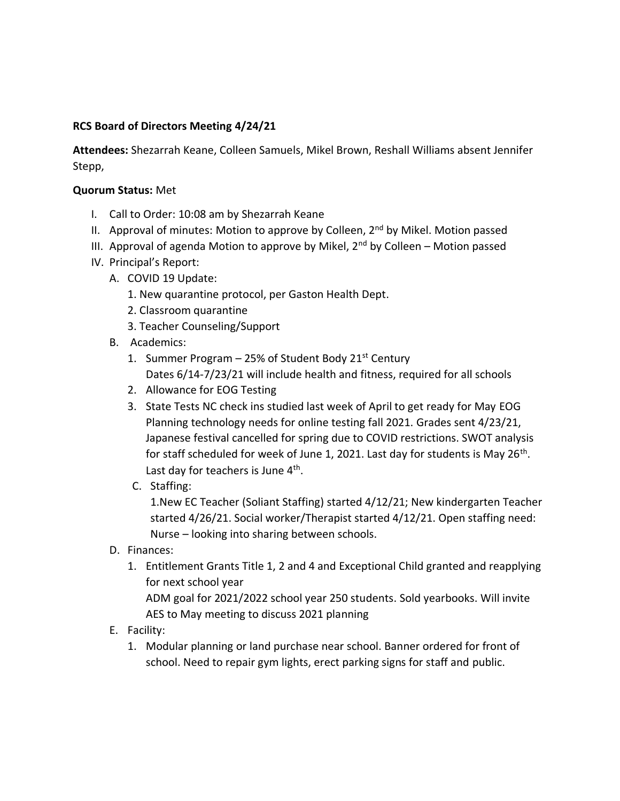## **RCS Board of Directors Meeting 4/24/21**

**Attendees:** Shezarrah Keane, Colleen Samuels, Mikel Brown, Reshall Williams absent Jennifer Stepp,

## **Quorum Status:** Met

- I. Call to Order: 10:08 am by Shezarrah Keane
- II. Approval of minutes: Motion to approve by Colleen,  $2<sup>nd</sup>$  by Mikel. Motion passed
- III. Approval of agenda Motion to approve by Mikel,  $2<sup>nd</sup>$  by Colleen Motion passed
- IV. Principal's Report:
	- A. COVID 19 Update:
		- 1. New quarantine protocol, per Gaston Health Dept.
		- 2. Classroom quarantine
		- 3. Teacher Counseling/Support
	- B. Academics:
		- 1. Summer Program  $-$  25% of Student Body 21st Century Dates 6/14-7/23/21 will include health and fitness, required for all schools
		- 2. Allowance for EOG Testing
		- 3. State Tests NC check ins studied last week of April to get ready for May EOG Planning technology needs for online testing fall 2021. Grades sent 4/23/21, Japanese festival cancelled for spring due to COVID restrictions. SWOT analysis for staff scheduled for week of June 1, 2021. Last day for students is May 26<sup>th</sup>. Last day for teachers is June 4<sup>th</sup>.
		- C. Staffing:

1.New EC Teacher (Soliant Staffing) started 4/12/21; New kindergarten Teacher started 4/26/21. Social worker/Therapist started 4/12/21. Open staffing need: Nurse – looking into sharing between schools.

- D. Finances:
	- 1. Entitlement Grants Title 1, 2 and 4 and Exceptional Child granted and reapplying for next school year ADM goal for 2021/2022 school year 250 students. Sold yearbooks. Will invite
		- AES to May meeting to discuss 2021 planning
- E. Facility:
	- 1. Modular planning or land purchase near school. Banner ordered for front of school. Need to repair gym lights, erect parking signs for staff and public.